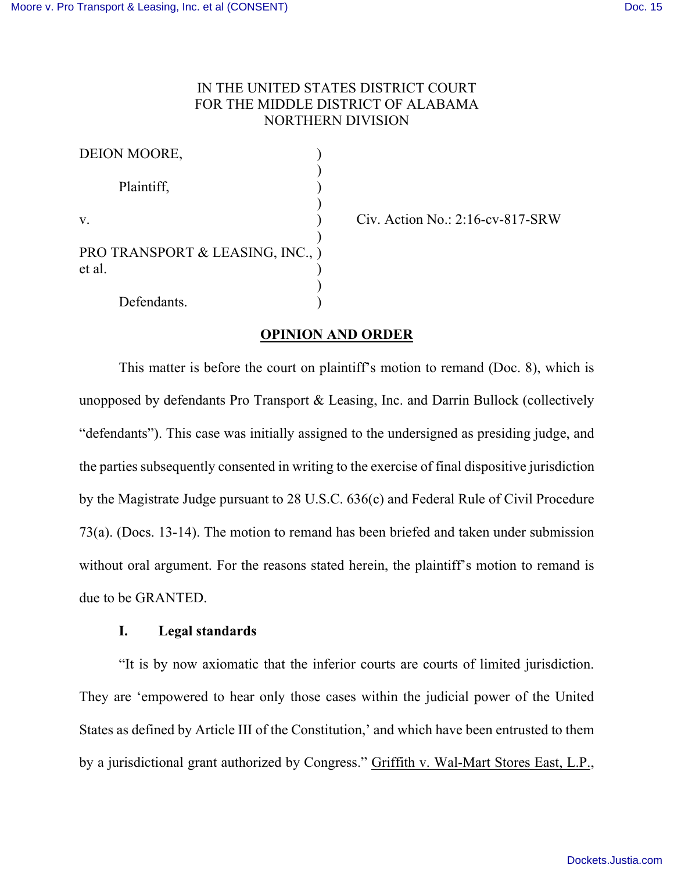## IN THE UNITED STATES DISTRICT COURT FOR THE MIDDLE DISTRICT OF ALABAMA NORTHERN DIVISION

| DEION MOORE,                               |  |
|--------------------------------------------|--|
| Plaintiff,                                 |  |
| V.                                         |  |
| PRO TRANSPORT & LEASING, INC., )<br>et al. |  |
| Defendants.                                |  |

 $Civ.$  Action No.: 2:16-cv-817-SRW

# **OPINION AND ORDER**

This matter is before the court on plaintiff's motion to remand (Doc. 8), which is unopposed by defendants Pro Transport & Leasing, Inc. and Darrin Bullock (collectively "defendants"). This case was initially assigned to the undersigned as presiding judge, and the parties subsequently consented in writing to the exercise of final dispositive jurisdiction by the Magistrate Judge pursuant to 28 U.S.C. 636(c) and Federal Rule of Civil Procedure 73(a). (Docs. 13-14). The motion to remand has been briefed and taken under submission without oral argument. For the reasons stated herein, the plaintiff's motion to remand is due to be GRANTED.

#### **I. Legal standards**

"It is by now axiomatic that the inferior courts are courts of limited jurisdiction. They are 'empowered to hear only those cases within the judicial power of the United States as defined by Article III of the Constitution,' and which have been entrusted to them by a jurisdictional grant authorized by Congress." Griffith v. Wal-Mart Stores East, L.P.,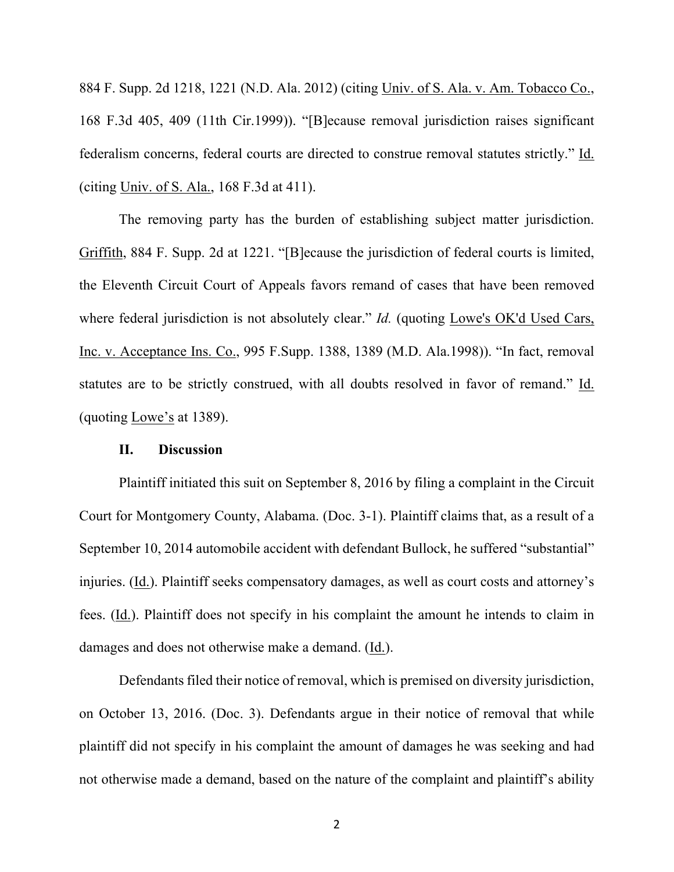884 F. Supp. 2d 1218, 1221 (N.D. Ala. 2012) (citing Univ. of S. Ala. v. Am. Tobacco Co., 168 F.3d 405, 409 (11th Cir.1999)). "[B]ecause removal jurisdiction raises significant federalism concerns, federal courts are directed to construe removal statutes strictly." Id. (citing Univ. of S. Ala., 168 F.3d at 411).

The removing party has the burden of establishing subject matter jurisdiction. Griffith, 884 F. Supp. 2d at 1221. "[B]ecause the jurisdiction of federal courts is limited, the Eleventh Circuit Court of Appeals favors remand of cases that have been removed where federal jurisdiction is not absolutely clear." *Id.* (quoting Lowe's OK'd Used Cars, Inc. v. Acceptance Ins. Co., 995 F.Supp. 1388, 1389 (M.D. Ala.1998)). "In fact, removal statutes are to be strictly construed, with all doubts resolved in favor of remand." Id. (quoting Lowe's at 1389).

### **II. Discussion**

Plaintiff initiated this suit on September 8, 2016 by filing a complaint in the Circuit Court for Montgomery County, Alabama. (Doc. 3-1). Plaintiff claims that, as a result of a September 10, 2014 automobile accident with defendant Bullock, he suffered "substantial" injuries. (Id.). Plaintiff seeks compensatory damages, as well as court costs and attorney's fees. (Id.). Plaintiff does not specify in his complaint the amount he intends to claim in damages and does not otherwise make a demand. (Id.).

Defendants filed their notice of removal, which is premised on diversity jurisdiction, on October 13, 2016. (Doc. 3). Defendants argue in their notice of removal that while plaintiff did not specify in his complaint the amount of damages he was seeking and had not otherwise made a demand, based on the nature of the complaint and plaintiff's ability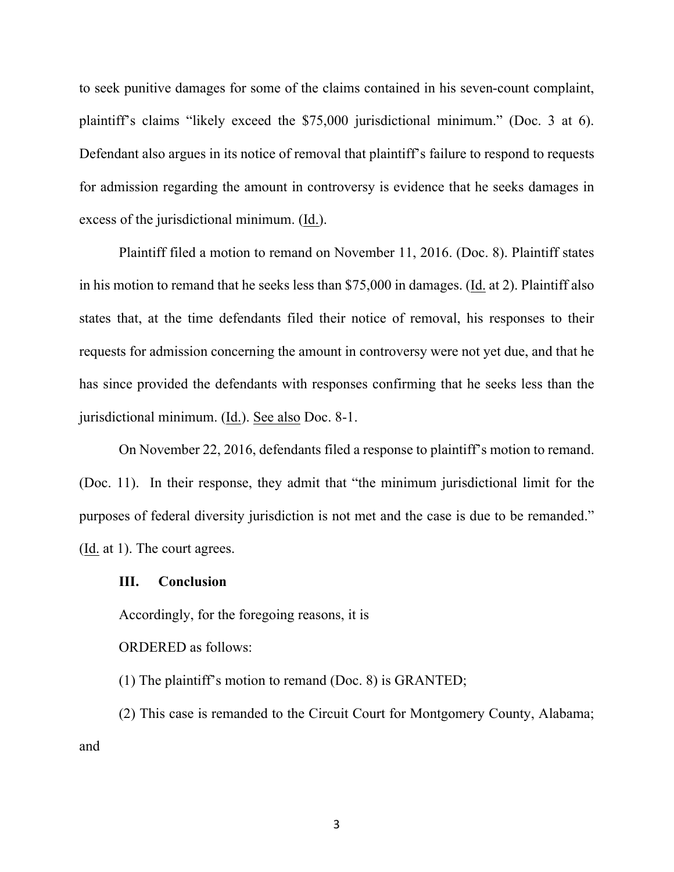to seek punitive damages for some of the claims contained in his seven-count complaint, plaintiff's claims "likely exceed the \$75,000 jurisdictional minimum." (Doc. 3 at 6). Defendant also argues in its notice of removal that plaintiff's failure to respond to requests for admission regarding the amount in controversy is evidence that he seeks damages in excess of the jurisdictional minimum. (Id.).

Plaintiff filed a motion to remand on November 11, 2016. (Doc. 8). Plaintiff states in his motion to remand that he seeks less than \$75,000 in damages. (Id. at 2). Plaintiff also states that, at the time defendants filed their notice of removal, his responses to their requests for admission concerning the amount in controversy were not yet due, and that he has since provided the defendants with responses confirming that he seeks less than the jurisdictional minimum. (Id.). See also Doc. 8-1.

On November 22, 2016, defendants filed a response to plaintiff's motion to remand. (Doc. 11). In their response, they admit that "the minimum jurisdictional limit for the purposes of federal diversity jurisdiction is not met and the case is due to be remanded." (Id. at 1). The court agrees.

### **III. Conclusion**

Accordingly, for the foregoing reasons, it is

ORDERED as follows:

(1) The plaintiff's motion to remand (Doc. 8) is GRANTED;

(2) This case is remanded to the Circuit Court for Montgomery County, Alabama; and

3